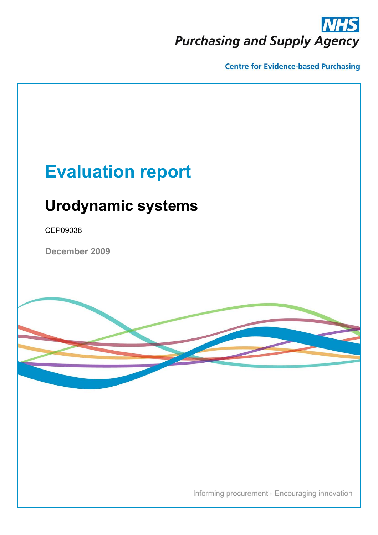# **Purchasing and Supply Agency**

**Centre for Evidence-based Purchasing** 

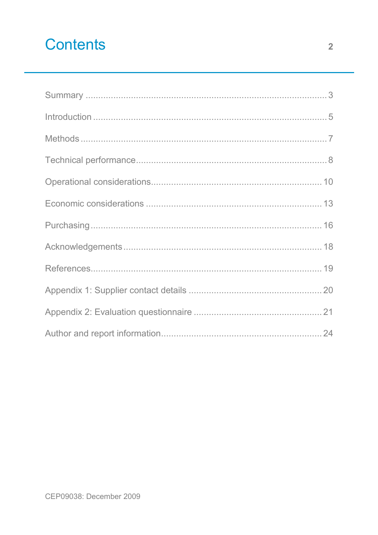# **Contents**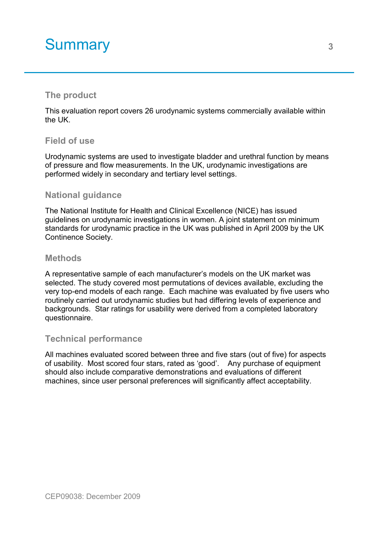# <span id="page-2-0"></span>Summary 3<sup>3</sup>

### **The product**

This evaluation report covers 26 urodynamic systems commercially available within the UK.

#### **Field of use**

Urodynamic systems are used to investigate bladder and urethral function by means of pressure and flow measurements. In the UK, urodynamic investigations are performed widely in secondary and tertiary level settings.

### **National guidance**

The National Institute for Health and Clinical Excellence (NICE) has issued guidelines on urodynamic investigations in women. A joint statement on minimum standards for urodynamic practice in the UK was published in April 2009 by the UK Continence Society.

#### **Methods**

A representative sample of each manufacturer's models on the UK market was selected. The study covered most permutations of devices available, excluding the very top-end models of each range. Each machine was evaluated by five users who routinely carried out urodynamic studies but had differing levels of experience and backgrounds. Star ratings for usability were derived from a completed laboratory questionnaire.

#### **Technical performance**

All machines evaluated scored between three and five stars (out of five) for aspects of usability. Most scored four stars, rated as 'good'. Any purchase of equipment should also include comparative demonstrations and evaluations of different machines, since user personal preferences will significantly affect acceptability.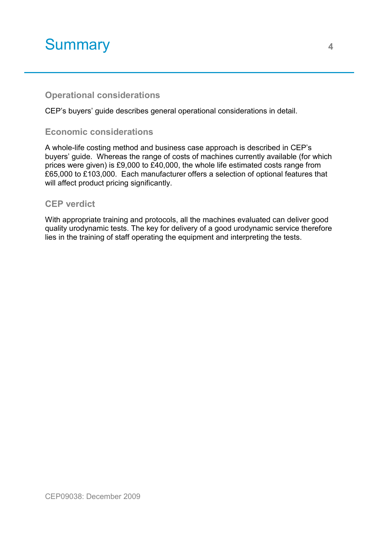# Summary **<sup>4</sup>**

### **Operational considerations**

CEP's buyers' guide describes general operational considerations in detail.

### **Economic considerations**

A whole-life costing method and business case approach is described in CEP's buyers' guide. Whereas the range of costs of machines currently available (for which prices were given) is £9,000 to £40,000, the whole life estimated costs range from £65,000 to £103,000. Each manufacturer offers a selection of optional features that will affect product pricing significantly.

#### **CEP verdict**

With appropriate training and protocols, all the machines evaluated can deliver good quality urodynamic tests. The key for delivery of a good urodynamic service therefore lies in the training of staff operating the equipment and interpreting the tests.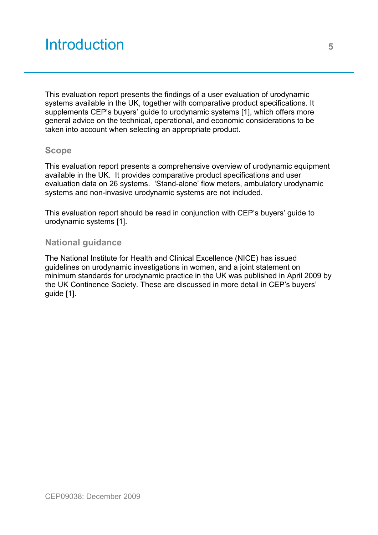# <span id="page-4-0"></span>Introduction **<sup>5</sup>**

This evaluation report presents the findings of a user evaluation of urodynamic systems available in the UK, together with comparative product specifications. It supplements CEP's buyers' guide to urodynamic systems [1], which offers more general advice on the technical, operational, and economic considerations to be taken into account when selecting an appropriate product.

#### **Scope**

This evaluation report presents a comprehensive overview of urodynamic equipment available in the UK. It provides comparative product specifications and user evaluation data on 26 systems. 'Stand-alone' flow meters, ambulatory urodynamic systems and non-invasive urodynamic systems are not included.

This evaluation report should be read in conjunction with CEP's buyers' guide to urodynamic systems [1].

#### **National guidance**

The National Institute for Health and Clinical Excellence (NICE) has issued guidelines on urodynamic investigations in women, and a joint statement on minimum standards for urodynamic practice in the UK was published in April 2009 by the UK Continence Society. These are discussed in more detail in CEP's buyers' guide [1].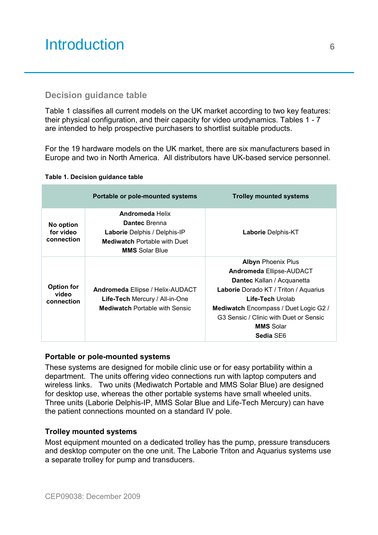# Introduction **<sup>6</sup> <sup>5</sup><sup>6</sup>**

### **Decision guidance table**

Table 1 classifies all current models on the UK market according to two key features: their physical configuration, and their capacity for video urodynamics. Tables 1 - 7 are intended to help prospective purchasers to shortlist suitable products.

For the 19 hardware models on the UK market, there are six manufacturers based in Europe and two in North America. All distributors have UK-based service personnel.

#### **Table 1. Decision guidance table**

|                                          | Portable or pole-mounted systems                                                                                                               | <b>Trolley mounted systems</b>                                                                                                                                                                                                                                                     |
|------------------------------------------|------------------------------------------------------------------------------------------------------------------------------------------------|------------------------------------------------------------------------------------------------------------------------------------------------------------------------------------------------------------------------------------------------------------------------------------|
| No option<br>for video<br>connection     | <b>Andromeda Helix</b><br>Dantec Brenna<br><b>Laborie</b> Delphis / Delphis-IP<br><b>Mediwatch Portable with Duet</b><br><b>MMS</b> Solar Blue | <b>Laborie</b> Delphis-KT                                                                                                                                                                                                                                                          |
| <b>Option for</b><br>video<br>connection | Andromeda Ellipse / Helix-AUDACT<br><b>Life-Tech Mercury / All-in-One</b><br><b>Mediwatch Portable with Sensic</b>                             | <b>Albyn Phoenix Plus</b><br><b>Andromeda Ellipse-AUDACT</b><br><b>Dantec</b> Kallan / Acquanetta<br>Laborie Dorado KT / Triton / Aquarius<br>Life-Tech Urolab<br>Mediwatch Encompass / Duet Logic G2 /<br>G3 Sensic / Clinic with Duet or Sensic<br><b>MMS</b> Solar<br>Sedia SE6 |

#### **Portable or pole-mounted systems**

These systems are designed for mobile clinic use or for easy portability within a department. The units offering video connections run with laptop computers and wireless links. Two units (Mediwatch Portable and MMS Solar Blue) are designed for desktop use, whereas the other portable systems have small wheeled units. Three units (Laborie Delphis-IP, MMS Solar Blue and Life-Tech Mercury) can have the patient connections mounted on a standard IV pole.

#### **Trolley mounted systems**

Most equipment mounted on a dedicated trolley has the pump, pressure transducers and desktop computer on the one unit. The Laborie Triton and Aquarius systems use a separate trolley for pump and transducers.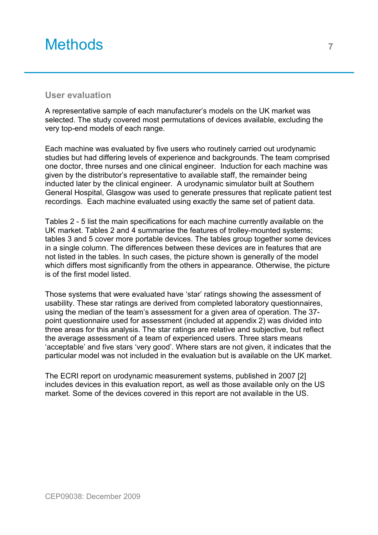### <span id="page-6-0"></span>Methods **<sup>7</sup>**

#### **User evaluation**

A representative sample of each manufacturer's models on the UK market was selected. The study covered most permutations of devices available, excluding the very top-end models of each range.

Each machine was evaluated by five users who routinely carried out urodynamic studies but had differing levels of experience and backgrounds. The team comprised one doctor, three nurses and one clinical engineer. Induction for each machine was given by the distributor's representative to available staff, the remainder being inducted later by the clinical engineer. A urodynamic simulator built at Southern General Hospital, Glasgow was used to generate pressures that replicate patient test recordings. Each machine evaluated using exactly the same set of patient data.

Tables 2 - 5 list the main specifications for each machine currently available on the UK market. Tables 2 and 4 summarise the features of trolley-mounted systems; tables 3 and 5 cover more portable devices. The tables group together some devices in a single column. The differences between these devices are in features that are not listed in the tables. In such cases, the picture shown is generally of the model which differs most significantly from the others in appearance. Otherwise, the picture is of the first model listed.

Those systems that were evaluated have 'star' ratings showing the assessment of usability. These star ratings are derived from completed laboratory questionnaires, using the median of the team's assessment for a given area of operation. The 37 point questionnaire used for assessment (included at appendix 2) was divided into three areas for this analysis. The star ratings are relative and subjective, but reflect the average assessment of a team of experienced users. Three stars means 'acceptable' and five stars 'very good'. Where stars are not given, it indicates that the particular model was not included in the evaluation but is available on the UK market.

The ECRI report on urodynamic measurement systems, published in 2007 [2] includes devices in this evaluation report, as well as those available only on the US market. Some of the devices covered in this report are not available in the US.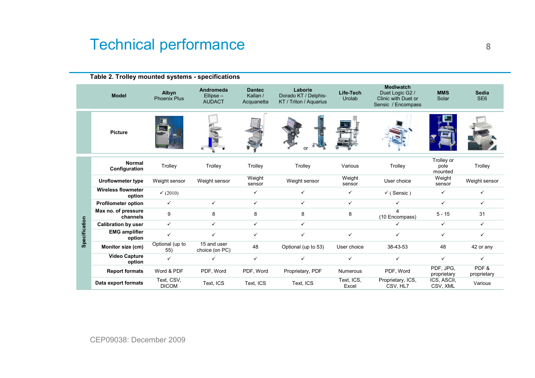# <span id="page-7-0"></span>Technical performance **8**

|               | Table 2. Trolley mounted systems - specifications |                              |                                           |                                         |                                                           |                                                                                                         |                               |                               |                                 |
|---------------|---------------------------------------------------|------------------------------|-------------------------------------------|-----------------------------------------|-----------------------------------------------------------|---------------------------------------------------------------------------------------------------------|-------------------------------|-------------------------------|---------------------------------|
|               | <b>Model</b>                                      | Albyn<br><b>Phoenix Plus</b> | Andromeda<br>$Ellipse -$<br><b>AUDACT</b> | <b>Dantec</b><br>Kallan /<br>Acquanetta | Laborie<br>Dorado KT / Delphis-<br>KT / Triton / Aquarius | <b>Mediwatch</b><br>Life-Tech<br>Duet Logic G2 /<br>Urolab<br>Clinic with Duet or<br>Sensic / Encompass |                               | <b>MMS</b><br>Solar           | <b>Sedia</b><br>SE <sub>6</sub> |
|               | <b>Picture</b>                                    |                              |                                           |                                         | or                                                        |                                                                                                         |                               |                               |                                 |
|               | <b>Normal</b><br>Configuration                    | Trolley                      | Trolley                                   | Trolley                                 | Trolley                                                   | Various                                                                                                 | Trolley                       | Trolley or<br>pole<br>mounted | Trolley                         |
|               | <b>Uroflowmeter type</b>                          | Weight sensor                | Weight sensor                             | Weight<br>sensor                        | Weight sensor                                             | Weight<br>sensor                                                                                        | User choice                   | Weight<br>sensor              | Weight sensor                   |
|               | <b>Wireless flowmeter</b><br>option               | (2010)                       |                                           | ✓                                       | ✓                                                         | ✓                                                                                                       | $\checkmark$ (Sensic)         | ✓                             | ✓                               |
|               | <b>Profilometer option</b>                        | $\checkmark$                 | $\checkmark$                              | $\checkmark$                            | $\checkmark$                                              | $\checkmark$                                                                                            | ✓                             | $\checkmark$                  | $\checkmark$                    |
|               | Max no. of pressure<br>channels                   | 9                            | 8                                         | 8                                       | 8                                                         | 8                                                                                                       | 4<br>(10 Encompass)           | $5 - 15$                      | 31                              |
|               | <b>Calibration by user</b>                        | $\checkmark$                 | $\checkmark$                              | $\checkmark$                            | $\checkmark$                                              |                                                                                                         | ✓                             | $\checkmark$                  | $\checkmark$                    |
| Specification | <b>EMG</b> amplifier<br>option                    | $\checkmark$                 | ✓                                         | ✓                                       | $\checkmark$                                              | ✓                                                                                                       | ✓                             | ✓                             | ✓                               |
|               | Monitor size (cm)                                 | Optional (up to<br>55)       | 15 and user<br>choice (on PC)             | 48                                      | Optional (up to 53)                                       | User choice                                                                                             | 38-43-53                      | 48                            | 42 or any                       |
|               | <b>Video Capture</b><br>option                    | $\checkmark$                 | ✓                                         | $\checkmark$                            | $\checkmark$                                              | ✓                                                                                                       | ✓                             | ✓                             | ✓                               |
|               | <b>Report formats</b>                             | Word & PDF                   | PDF, Word                                 | PDF, Word                               | Proprietary, PDF                                          | Numerous                                                                                                | PDF, Word                     | PDF, JPG,<br>proprietary      | PDF&<br>proprietary             |
|               | Data export formats                               | Text, CSV,<br><b>DICOM</b>   | Text, ICS                                 | Text, ICS                               | Text, ICS                                                 | Text, ICS,<br>Excel                                                                                     | Proprietary, ICS,<br>CSV, HL7 | ICS, ASCII,<br>CSV, XML       | Various                         |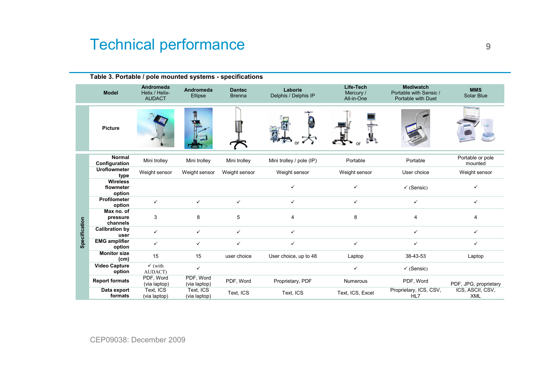# Technical performance **9**

|               | Table 3. Portable / pole mounted systems - specifications                                   |                               |                           |                                |                                 |                                      |                                                                  |                                |
|---------------|---------------------------------------------------------------------------------------------|-------------------------------|---------------------------|--------------------------------|---------------------------------|--------------------------------------|------------------------------------------------------------------|--------------------------------|
|               | Andromeda<br><b>Andromeda</b><br><b>Model</b><br>Helix / Helix-<br>Ellipse<br><b>AUDACT</b> |                               |                           | <b>Dantec</b><br><b>Brenna</b> | Laborie<br>Delphis / Delphis IP | Life-Tech<br>Mercury /<br>All-in-One | <b>Mediwatch</b><br>Portable with Sensic /<br>Portable with Duet | <b>MMS</b><br>Solar Blue       |
|               | <b>Picture</b>                                                                              |                               |                           |                                |                                 |                                      |                                                                  |                                |
|               | <b>Normal</b><br>Configuration                                                              | Mini trolley                  | Mini trolley              | Mini trolley                   | Mini trolley / pole (IP)        | Portable                             | Portable                                                         | Portable or pole<br>mounted    |
|               | <b>Uroflowmeter</b><br>type                                                                 | Weight sensor                 | Weight sensor             | Weight sensor                  | Weight sensor                   | Weight sensor                        | User choice                                                      | Weight sensor                  |
|               | <b>Wireless</b><br>flowmeter<br>option                                                      |                               |                           |                                |                                 | ✓                                    | $\checkmark$ (Sensic)                                            | ✓                              |
|               | <b>Profilometer</b><br>option                                                               | $\checkmark$                  | $\checkmark$              | $\checkmark$                   | ✓                               | $\checkmark$                         | ✓                                                                | ✓                              |
|               | Max no. of<br>pressure<br>channels                                                          | 3                             | 8                         | 5                              | $\overline{4}$                  | 8                                    | 4                                                                | $\overline{4}$                 |
| Specification | <b>Calibration by</b><br>user                                                               | $\checkmark$                  | $\checkmark$              | $\checkmark$                   | ✓                               |                                      | ✓                                                                | $\checkmark$                   |
|               | <b>EMG</b> amplifier<br>option                                                              | ✓                             | $\checkmark$              | $\checkmark$                   | ✓                               | $\checkmark$                         | ✓                                                                | ✓                              |
|               | <b>Monitor size</b><br>(cm)                                                                 | 15                            | 15                        | user choice                    | User choice, up to 48           | Laptop                               | 38-43-53                                                         | Laptop                         |
|               | <b>Video Capture</b><br>option                                                              | $\checkmark$ (with<br>AUDACT) | $\checkmark$              |                                |                                 | $\checkmark$                         | $\checkmark$ (Sensic)                                            |                                |
|               | <b>Report formats</b>                                                                       | PDF, Word<br>(via laptop)     | PDF, Word<br>(via laptop) | PDF, Word                      | Proprietary, PDF                | <b>Numerous</b>                      | PDF, Word                                                        | PDF, JPG, proprietary          |
|               | Data export<br>formats                                                                      | Text, ICS<br>(via laptop)     | Text, ICS<br>(via laptop) | Text, ICS                      | Text, ICS                       | Text, ICS, Excel                     | Proprietary, ICS, CSV,<br>HL7                                    | ICS, ASCII, CSV,<br><b>XML</b> |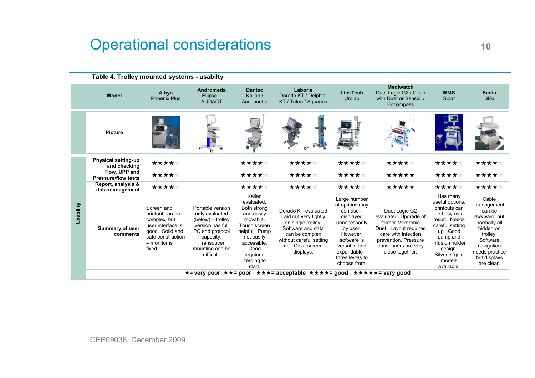# <span id="page-9-0"></span>Operational considerations **<sup>10</sup>**

|           | Table 4. Trolley mounted systems - usabilty |                                                                                                                                      |                                                                                                                                                            |                                                                                                                                                                          |                                                                                                                                                                       |                                                                                                                                                                                       |                                                                                                                                                                               |                                                                                                                                                                                                     |                                                                                                                                                                  |  |  |  |
|-----------|---------------------------------------------|--------------------------------------------------------------------------------------------------------------------------------------|------------------------------------------------------------------------------------------------------------------------------------------------------------|--------------------------------------------------------------------------------------------------------------------------------------------------------------------------|-----------------------------------------------------------------------------------------------------------------------------------------------------------------------|---------------------------------------------------------------------------------------------------------------------------------------------------------------------------------------|-------------------------------------------------------------------------------------------------------------------------------------------------------------------------------|-----------------------------------------------------------------------------------------------------------------------------------------------------------------------------------------------------|------------------------------------------------------------------------------------------------------------------------------------------------------------------|--|--|--|
|           | <b>Model</b>                                | Albyn<br><b>Phoenix Plus</b>                                                                                                         | Andromeda<br>$Ellipse -$<br><b>AUDACT</b>                                                                                                                  | <b>Dantec</b><br>Kallan /<br>Acquanetta                                                                                                                                  | Laborie<br>Dorado KT / Delphis-<br>KT / Triton / Aguarius                                                                                                             | Life-Tech<br>Urolab                                                                                                                                                                   | <b>Mediwatch</b><br>Duet Logic G2 / Clinic<br>with Duet or Sensic /<br>Encompass                                                                                              | <b>MMS</b><br>Solar                                                                                                                                                                                 | <b>Sedia</b><br>SE <sub>6</sub>                                                                                                                                  |  |  |  |
|           | <b>Picture</b>                              |                                                                                                                                      |                                                                                                                                                            |                                                                                                                                                                          | or                                                                                                                                                                    |                                                                                                                                                                                       |                                                                                                                                                                               |                                                                                                                                                                                                     |                                                                                                                                                                  |  |  |  |
|           | <b>Physical setting-up</b><br>and checking  | *****                                                                                                                                |                                                                                                                                                            | *****                                                                                                                                                                    | *****                                                                                                                                                                 | *****                                                                                                                                                                                 | *****                                                                                                                                                                         | *****                                                                                                                                                                                               | *****                                                                                                                                                            |  |  |  |
|           | Flow, UPP and<br><b>Pressure/flow tests</b> | *****                                                                                                                                |                                                                                                                                                            | *****                                                                                                                                                                    | *****                                                                                                                                                                 | *****                                                                                                                                                                                 | *****                                                                                                                                                                         | *****                                                                                                                                                                                               | *****                                                                                                                                                            |  |  |  |
|           | Report, analysis &<br>data management       | *****                                                                                                                                |                                                                                                                                                            | *****                                                                                                                                                                    | *****                                                                                                                                                                 | *****                                                                                                                                                                                 | *****                                                                                                                                                                         | *****                                                                                                                                                                                               | *****                                                                                                                                                            |  |  |  |
| Usability | <b>Summary of user</b><br>comments          | Screen and<br>printout can be<br>complex, but<br>user interface is<br>good. Solid and<br>safe construction<br>- monitor is<br>fixed. | Portable version<br>only evaluated<br>(below) – trolley<br>version has full<br>PC and protocol<br>capacity.<br>Transducer<br>mounting can be<br>difficult. | Kallan<br>evaluated.<br>Both strong<br>and easily<br>movable.<br>Touch screen<br>helpful. Pump<br>not easily<br>accessible.<br>Good<br>requiring<br>zeroing to<br>start. | Dorado KT evaluated<br>Laid out very tightly<br>on single trolley.<br>Software and data<br>can be complex<br>without careful setting<br>up. Clear screen<br>displays. | Large number<br>of options may<br>confuse if<br>displayed<br>unnecessarily<br>by user.<br>However,<br>software is<br>versatile and<br>expandable -<br>three levels to<br>choose from. | Duet Logic G2<br>evaluated. Upgrade of<br>former Medtronic<br>Duet. Layout requires<br>care with infection<br>prevention. Pressure<br>transducers are very<br>close together. | Has many<br>useful options,<br>printouts can<br>be busy as a<br>result. Needs<br>careful setting<br>up. Good<br>pump and<br>infusion holder<br>design.<br>'Silver' / 'gold'<br>models<br>available. | Cable<br>management<br>can be<br>awkward, but<br>normally all<br>hidden on<br>trolley.<br>Software<br>navigation<br>needs practice<br>but displays<br>are clear. |  |  |  |
|           |                                             |                                                                                                                                      |                                                                                                                                                            |                                                                                                                                                                          | *= very poor **= poor ***= acceptable ****= good *****= very good                                                                                                     |                                                                                                                                                                                       |                                                                                                                                                                               |                                                                                                                                                                                                     |                                                                                                                                                                  |  |  |  |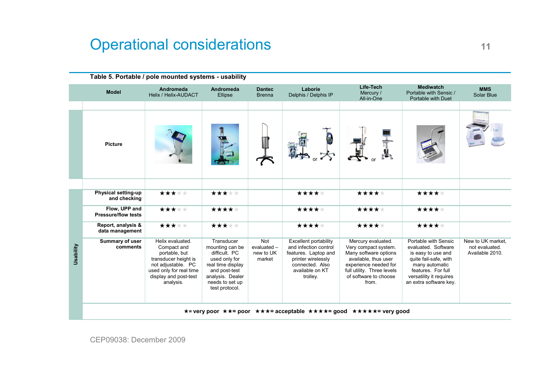# **Operational considerations** 11

| <b>Model</b>                                | Andromeda<br>Helix / Helix-AUDACT                                                                                                                               | Andromeda<br>Ellipse                                                                                                                                           | <b>Dantec</b><br><b>Brenna</b>            | Laborie<br>Delphis / Delphis IP                                                                                                                | Life-Tech<br>Mercury /<br>All-in-One                                                                                                                                                 | <b>Mediwatch</b><br>Portable with Sensic /<br>Portable with Duet                                                                                                                        | <b>MMS</b><br>Solar Blue                               |
|---------------------------------------------|-----------------------------------------------------------------------------------------------------------------------------------------------------------------|----------------------------------------------------------------------------------------------------------------------------------------------------------------|-------------------------------------------|------------------------------------------------------------------------------------------------------------------------------------------------|--------------------------------------------------------------------------------------------------------------------------------------------------------------------------------------|-----------------------------------------------------------------------------------------------------------------------------------------------------------------------------------------|--------------------------------------------------------|
| <b>Picture</b>                              |                                                                                                                                                                 |                                                                                                                                                                |                                           | A                                                                                                                                              |                                                                                                                                                                                      |                                                                                                                                                                                         |                                                        |
| Physical setting-up<br>and checking         | *****                                                                                                                                                           | *****                                                                                                                                                          |                                           | *****                                                                                                                                          | *****                                                                                                                                                                                | *****                                                                                                                                                                                   |                                                        |
| Flow, UPP and<br><b>Pressure/flow tests</b> | *****                                                                                                                                                           | *****                                                                                                                                                          |                                           | *****                                                                                                                                          | *****                                                                                                                                                                                | *****                                                                                                                                                                                   |                                                        |
| Report, analysis &<br>data management       | *****                                                                                                                                                           | *****                                                                                                                                                          |                                           | *****                                                                                                                                          | *****                                                                                                                                                                                | *****                                                                                                                                                                                   |                                                        |
| Summary of user<br>comments                 | Helix evaluated.<br>Compact and<br>portable, but<br>transducer height is<br>not adjustable. PC<br>used only for real time<br>display and post-test<br>analysis. | Transducer<br>mounting can be<br>difficult. PC<br>used only for<br>real time display<br>and post-test<br>analysis. Dealer<br>needs to set up<br>test protocol. | Not<br>evaluated -<br>new to UK<br>market | Excellent portability<br>and infection control<br>features. Laptop and<br>printer wirelessly<br>connected. Also<br>available on KT<br>trolley. | Mercury evaluated.<br>Very compact system.<br>Many software options<br>available, thus user<br>experience needed for<br>full utility. Three levels<br>of software to choose<br>from. | Portable with Sensic<br>evaluated. Software<br>is easy to use and<br>quite fail-safe, with<br>many automatic<br>features. For full<br>versatility it requires<br>an extra software key. | New to UK market,<br>not evaluated.<br>Available 2010. |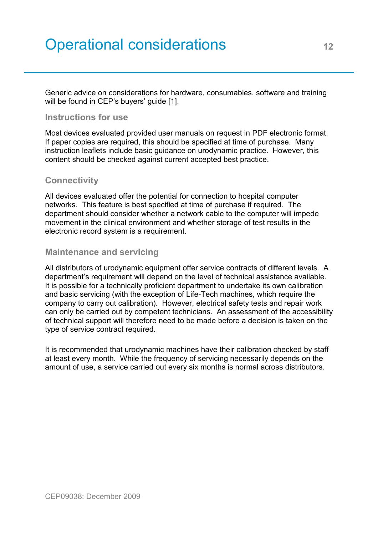# Operational considerations **<sup>12</sup>**

Generic advice on considerations for hardware, consumables, software and training will be found in CEP's buyers' guide [1].

#### **Instructions for use**

Most devices evaluated provided user manuals on request in PDF electronic format. If paper copies are required, this should be specified at time of purchase. Many instruction leaflets include basic guidance on urodynamic practice. However, this content should be checked against current accepted best practice.

#### **Connectivity**

All devices evaluated offer the potential for connection to hospital computer networks. This feature is best specified at time of purchase if required. The department should consider whether a network cable to the computer will impede movement in the clinical environment and whether storage of test results in the electronic record system is a requirement.

#### **Maintenance and servicing**

All distributors of urodynamic equipment offer service contracts of different levels. A department's requirement will depend on the level of technical assistance available. It is possible for a technically proficient department to undertake its own calibration and basic servicing (with the exception of Life-Tech machines, which require the company to carry out calibration). However, electrical safety tests and repair work can only be carried out by competent technicians. An assessment of the accessibility of technical support will therefore need to be made before a decision is taken on the type of service contract required.

It is recommended that urodynamic machines have their calibration checked by staff at least every month. While the frequency of servicing necessarily depends on the amount of use, a service carried out every six months is normal across distributors.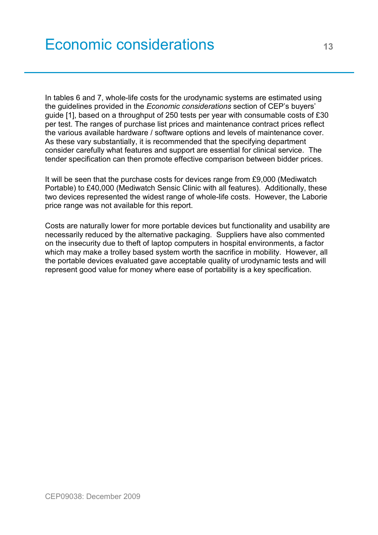<span id="page-12-0"></span>In tables 6 and 7, whole-life costs for the urodynamic systems are estimated using the guidelines provided in the *Economic considerations* section of CEP's buyers' guide [1], based on a throughput of 250 tests per year with consumable costs of £30 per test. The ranges of purchase list prices and maintenance contract prices reflect the various available hardware / software options and levels of maintenance cover. As these vary substantially, it is recommended that the specifying department consider carefully what features and support are essential for clinical service. The tender specification can then promote effective comparison between bidder prices.

It will be seen that the purchase costs for devices range from £9,000 (Mediwatch Portable) to £40,000 (Mediwatch Sensic Clinic with all features). Additionally, these two devices represented the widest range of whole-life costs. However, the Laborie price range was not available for this report.

Costs are naturally lower for more portable devices but functionality and usability are necessarily reduced by the alternative packaging. Suppliers have also commented on the insecurity due to theft of laptop computers in hospital environments, a factor which may make a trolley based system worth the sacrifice in mobility. However, all the portable devices evaluated gave acceptable quality of urodynamic tests and will represent good value for money where ease of portability is a key specification.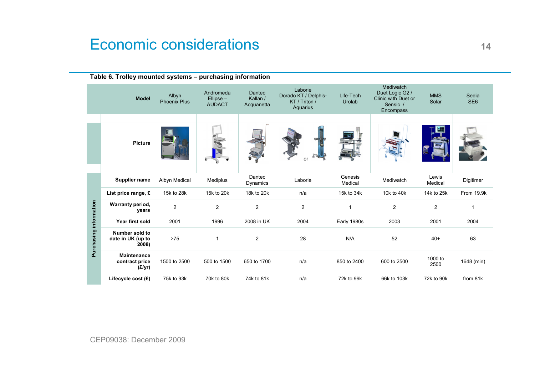# Economic considerations and the set of the set of the set of the set of the set of the set of the set of the set of the set of the set of the set of the set of the set of the set of the set of the set of the set of the set

|                        | Table 6. Trolley mounted systems – purchasing information |                              |                                           |                                  |                                                              |                     |                                                                                     |                     |                          |  |  |  |
|------------------------|-----------------------------------------------------------|------------------------------|-------------------------------------------|----------------------------------|--------------------------------------------------------------|---------------------|-------------------------------------------------------------------------------------|---------------------|--------------------------|--|--|--|
|                        | <b>Model</b>                                              | Albyn<br><b>Phoenix Plus</b> | Andromeda<br>$Ellipse -$<br><b>AUDACT</b> | Dantec<br>Kallan /<br>Acquanetta | Laborie<br>Dorado KT / Delphis-<br>KT / Triton /<br>Aquarius | Life-Tech<br>Urolab | <b>Mediwatch</b><br>Duet Logic G2 /<br>Clinic with Duet or<br>Sensic /<br>Encompass | <b>MMS</b><br>Solar | Sedia<br>SE <sub>6</sub> |  |  |  |
|                        |                                                           |                              |                                           |                                  |                                                              |                     |                                                                                     |                     |                          |  |  |  |
|                        | <b>Picture</b>                                            |                              |                                           |                                  | or                                                           |                     |                                                                                     |                     |                          |  |  |  |
|                        |                                                           |                              |                                           |                                  |                                                              |                     |                                                                                     |                     |                          |  |  |  |
|                        | Supplier name                                             | Albyn Medical                | Mediplus                                  | Dantec<br>Dynamics               | Laborie                                                      | Genesis<br>Medical  | Mediwatch                                                                           | Lewis<br>Medical    | Digitimer                |  |  |  |
|                        | List price range, £                                       | 15k to 28k                   | 15k to 20k                                | 18k to 20k                       | n/a                                                          | 15k to 34k          | 10k to 40k                                                                          | 14k to 25k          | From 19.9k               |  |  |  |
|                        | Warranty period,<br>years                                 | $\overline{2}$               | $\overline{2}$                            | 2                                | $\overline{2}$                                               | $\overline{1}$      | $\overline{2}$                                                                      | $\overline{2}$      | 1                        |  |  |  |
|                        | Year first sold                                           | 2001                         | 1996                                      | 2008 in UK                       | 2004                                                         | Early 1980s         | 2003                                                                                | 2001                | 2004                     |  |  |  |
| Purchasing information | Number sold to<br>date in UK (up to<br>2008)              | $>75$                        | 1                                         | 2                                | 28                                                           | N/A                 | 52                                                                                  | $40+$               | 63                       |  |  |  |
|                        | <b>Maintenance</b><br>contract price<br>(E/yr)            | 1500 to 2500                 | 500 to 1500                               | 650 to 1700                      | n/a                                                          | 850 to 2400         | 600 to 2500                                                                         | 1000 to<br>2500     | 1648 (min)               |  |  |  |
|                        | Lifecycle cost (£)                                        | 75k to 93k                   | 70k to 80k                                | 74k to 81k                       | n/a                                                          | 72k to 99k          | 66k to 103k                                                                         | 72k to 90k          | from 81k                 |  |  |  |

**Table 6. Trolley mounted systems – purchasing information**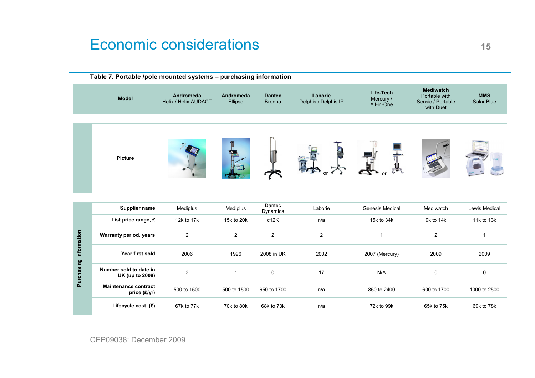# Economic considerations 15

|                        | Table 7. Portable /pole mounted systems - purchasing information |                                          |                      |                                |                                 |                                      |                                                                     |                          |
|------------------------|------------------------------------------------------------------|------------------------------------------|----------------------|--------------------------------|---------------------------------|--------------------------------------|---------------------------------------------------------------------|--------------------------|
|                        | <b>Model</b>                                                     | Andromeda<br><b>Helix / Helix-AUDACT</b> | Andromeda<br>Ellipse | <b>Dantec</b><br><b>Brenna</b> | Laborie<br>Delphis / Delphis IP | Life-Tech<br>Mercury /<br>All-in-One | <b>Mediwatch</b><br>Portable with<br>Sensic / Portable<br>with Duet | <b>MMS</b><br>Solar Blue |
|                        | Picture                                                          |                                          |                      |                                |                                 |                                      |                                                                     |                          |
|                        | Supplier name                                                    | Mediplus                                 | Mediplus             | Dantec<br>Dynamics             | Laborie                         | Genesis Medical                      | Mediwatch                                                           | Lewis Medical            |
|                        | List price range, £                                              | 12k to 17k                               | 15k to 20k           | c12K                           | n/a                             | 15k to 34k                           | 9k to 14k                                                           | 11k to 13k               |
|                        | <b>Warranty period, years</b>                                    | $\overline{2}$                           | $\overline{2}$       | $\overline{2}$                 | $\overline{2}$                  | $\mathbf{1}$                         | $\overline{c}$                                                      | $\mathbf{1}$             |
|                        | Year first sold                                                  | 2006                                     | 1996                 | 2008 in UK                     | 2002                            | 2007 (Mercury)                       | 2009                                                                | 2009                     |
| Purchasing information | Number sold to date in<br>UK (up to 2008)                        | 3                                        | $\mathbf{1}$         | $\mathbf 0$                    | 17                              | N/A                                  | 0                                                                   | $\mathbf 0$              |
|                        | <b>Maintenance contract</b><br>price (£/yr)                      | 500 to 1500                              | 500 to 1500          | 650 to 1700                    | n/a                             | 850 to 2400                          | 600 to 1700                                                         | 1000 to 2500             |
|                        | Lifecycle cost (£)                                               | 67k to 77k                               | 70k to 80k           | 68k to 73k                     | n/a                             | 72k to 99k                           | 65k to 75k                                                          | 69k to 78k               |

CEP09038: December 2009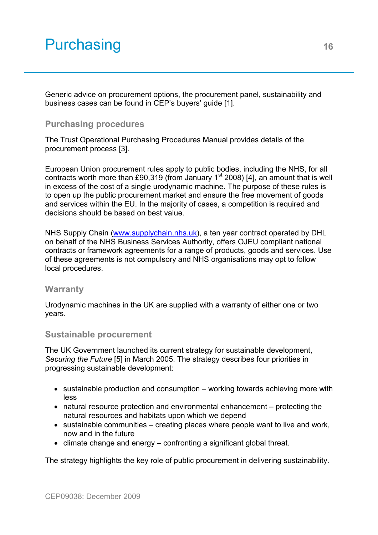# <span id="page-15-0"></span>Purchasing 16

Generic advice on procurement options, the procurement panel, sustainability and business cases can be found in CEP's buyers' guide [1].

#### **Purchasing procedures**

The Trust Operational Purchasing Procedures Manual provides details of the procurement process [3].

European Union procurement rules apply to public bodies, including the NHS, for all contracts worth more than £90,319 (from January  $1<sup>st</sup>$  2008) [4], an amount that is well in excess of the cost of a single urodynamic machine. The purpose of these rules is to open up the public procurement market and ensure the free movement of goods and services within the EU. In the majority of cases, a competition is required and decisions should be based on best value.

NHS Supply Chain (www.supplychain.nhs.uk), a ten year contract operated by DHL on behalf of the NHS Business Services Authority, offers OJEU compliant national contracts or framework agreements for a range of products, goods and services. Use of these agreements is not compulsory and NHS organisations may opt to follow local procedures.

#### **Warranty**

Urodynamic machines in the UK are supplied with a warranty of either one or two years.

#### **Sustainable procurement**

The UK Government launched its current strategy for sustainable development, *Securing the Future* [5] in March 2005. The strategy describes four priorities in progressing sustainable development:

- sustainable production and consumption working towards achieving more with less
- natural resource protection and environmental enhancement protecting the natural resources and habitats upon which we depend
- sustainable communities creating places where people want to live and work, now and in the future
- climate change and energy confronting a significant global threat.

The strategy highlights the key role of public procurement in delivering sustainability.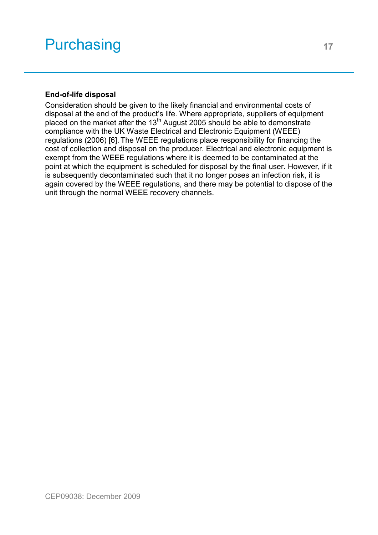# Purchasing 17

#### **End-of-life disposal**

Consideration should be given to the likely financial and environmental costs of disposal at the end of the product's life. Where appropriate, suppliers of equipment placed on the market after the 13<sup>th</sup> August 2005 should be able to demonstrate compliance with the UK Waste Electrical and Electronic Equipment (WEEE) regulations (2006) [6]. The WEEE regulations place responsibility for financing the cost of collection and disposal on the producer. Electrical and electronic equipment is exempt from the WEEE regulations where it is deemed to be contaminated at the point at which the equipment is scheduled for disposal by the final user. However, if it is subsequently decontaminated such that it no longer poses an infection risk, it is again covered by the WEEE regulations, and there may be potential to dispose of the unit through the normal WEEE recovery channels.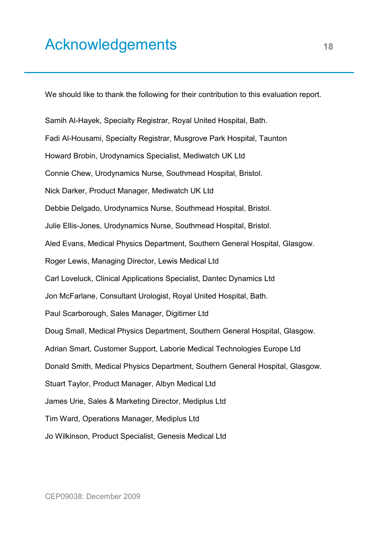# <span id="page-17-0"></span>Acknowledgements 18

We should like to thank the following for their contribution to this evaluation report.

Samih Al-Hayek, Specialty Registrar, Royal United Hospital, Bath. Fadi Al-Housami, Specialty Registrar, Musgrove Park Hospital, Taunton Howard Brobin, Urodynamics Specialist, Mediwatch UK Ltd Connie Chew, Urodynamics Nurse, Southmead Hospital, Bristol. Nick Darker, Product Manager, Mediwatch UK Ltd Debbie Delgado, Urodynamics Nurse, Southmead Hospital, Bristol. Julie Ellis-Jones, Urodynamics Nurse, Southmead Hospital, Bristol. Aled Evans, Medical Physics Department, Southern General Hospital, Glasgow. Roger Lewis, Managing Director, Lewis Medical Ltd Carl Loveluck, Clinical Applications Specialist, Dantec Dynamics Ltd Jon McFarlane, Consultant Urologist, Royal United Hospital, Bath. Paul Scarborough, Sales Manager, Digitimer Ltd Doug Small, Medical Physics Department, Southern General Hospital, Glasgow. Adrian Smart, Customer Support, Laborie Medical Technologies Europe Ltd Donald Smith, Medical Physics Department, Southern General Hospital, Glasgow. Stuart Taylor, Product Manager, Albyn Medical Ltd James Urie, Sales & Marketing Director, Mediplus Ltd Tim Ward, Operations Manager, Mediplus Ltd Jo Wilkinson, Product Specialist, Genesis Medical Ltd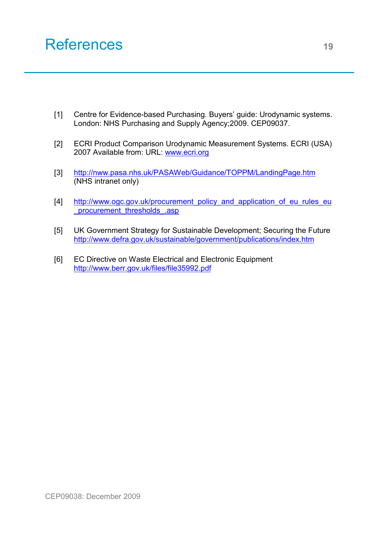## <span id="page-18-0"></span>References 19

- [1] Centre for Evidence-based Purchasing. Buyers' guide: Urodynamic systems. London: NHS Purchasing and Supply Agency;2009. CEP09037.
- [2] ECRI Product Comparison Urodynamic Measurement Systems. ECRI (USA) 2007 Available from: URL: www.ecri.org
- [3] http://nww.pasa.nhs.uk/PASAWeb/Guidance/TOPPM/LandingPage.htm (NHS intranet only)
- [4] [http://www.ogc.gov.uk/procurement\\_policy\\_and\\_application\\_of\\_eu\\_rules\\_eu](http://www.ogc.gov.uk/procurement_policy_and_practice_procurement_policy_and_application_of_eu_rules.asp) procurement\_thresholds\_asp
- [5] UK Government Strategy for Sustainable Development; Securing the Future http://www.defra.gov.uk/sustainable/government/publications/index.htm
- [6] EC Directive on Waste Electrical and Electronic Equipment http://www.berr.gov.uk/files/file35992.pdf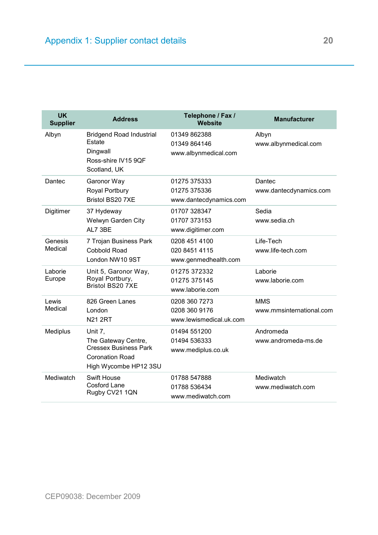<span id="page-19-0"></span>

| <b>UK</b><br><b>Supplier</b> | <b>Address</b>                                                                                                    | Telephone / Fax /<br><b>Website</b>                       | <b>Manufacturer</b>                    |
|------------------------------|-------------------------------------------------------------------------------------------------------------------|-----------------------------------------------------------|----------------------------------------|
| Albyn                        | <b>Bridgend Road Industrial</b><br>Estate<br>Dingwall<br>Ross-shire IV15 9OF<br>Scotland, UK                      | 01349 862388<br>01349 864146<br>www.albynmedical.com      | Albyn<br>www.albynmedical.com          |
| Dantec                       | Garonor Way<br>Royal Portbury<br>Bristol BS20 7XE                                                                 | 01275 375333<br>01275 375336<br>www.dantecdynamics.com    | Dantec<br>www.dantecdynamics.com       |
| Digitimer                    | 37 Hydeway<br>Welwyn Garden City<br>AL7 3BE                                                                       | 01707 328347<br>01707 373153<br>www.digitimer.com         | Sedia<br>www.sedia.ch                  |
| Genesis<br>Medical           | 7 Trojan Business Park<br><b>Cobbold Road</b><br>London NW10 9ST                                                  | 0208 451 4100<br>020 8451 4115<br>www.genmedhealth.com    | Life-Tech<br>www.life-tech.com         |
| Laborie<br>Europe            | Unit 5, Garonor Way,<br>Royal Portbury,<br><b>Bristol BS20 7XE</b>                                                | 01275 372332<br>01275 375145<br>www.laborie.com           | Laborie<br>www.laborie.com             |
| Lewis<br>Medical             | 826 Green Lanes<br>London<br><b>N21 2RT</b>                                                                       | 0208 360 7273<br>0208 360 9176<br>www.lewismedical.uk.com | <b>MMS</b><br>www.mmsinternational.com |
| Mediplus                     | Unit 7,<br>The Gateway Centre,<br><b>Cressex Business Park</b><br><b>Coronation Road</b><br>High Wycombe HP12 3SU | 01494 551200<br>01494 536333<br>www.mediplus.co.uk        | Andromeda<br>www.andromeda-ms.de       |
| Mediwatch                    | <b>Swift House</b><br>Cosford Lane<br>Rugby CV21 1QN                                                              | 01788 547888<br>01788 536434<br>www.mediwatch.com         | Mediwatch<br>www.mediwatch.com         |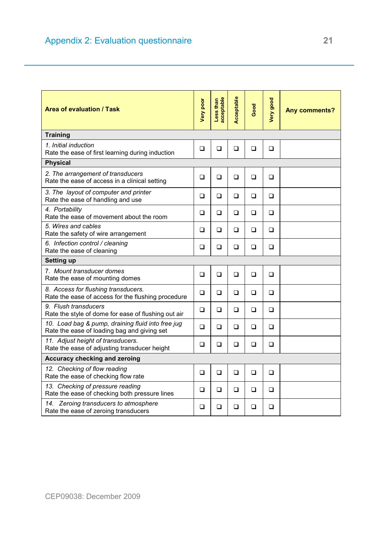<span id="page-20-0"></span>

| <b>Area of evaluation / Task</b>                                                                 | Very poor | acceptable<br>Less than | Acceptable | Good   | Very good | <b>Any comments?</b> |
|--------------------------------------------------------------------------------------------------|-----------|-------------------------|------------|--------|-----------|----------------------|
| <b>Training</b>                                                                                  |           |                         |            |        |           |                      |
| 1. Initial induction<br>Rate the ease of first learning during induction                         | ❏         | ❏                       | ❏          | $\Box$ | ❏         |                      |
| <b>Physical</b>                                                                                  |           |                         |            |        |           |                      |
| 2. The arrangement of transducers<br>Rate the ease of access in a clinical setting               | ❏         | $\Box$                  | ❏          | $\Box$ | ❏         |                      |
| 3. The layout of computer and printer<br>Rate the ease of handling and use                       | ❏         | $\Box$                  | ❏          | □      | □         |                      |
| 4. Portability<br>Rate the ease of movement about the room                                       | ❏         | $\Box$                  | ❏          | ❏      | ❏         |                      |
| 5. Wires and cables<br>Rate the safety of wire arrangement                                       | □         | □                       | □          | □      | □         |                      |
| 6. Infection control / cleaning<br>Rate the ease of cleaning                                     | ❏         | $\Box$                  | ❏          | ❏      | □         |                      |
| <b>Setting up</b>                                                                                |           |                         |            |        |           |                      |
| 7. Mount transducer domes<br>Rate the ease of mounting domes                                     | □         | $\Box$                  | <b>□</b>   | $\Box$ | □         |                      |
| 8. Access for flushing transducers.<br>Rate the ease of access for the flushing procedure        | ❏         | $\Box$                  | ❏          | ❏      | ❏         |                      |
| 9. Flush transducers<br>Rate the style of dome for ease of flushing out air                      | ❏         | $\Box$                  | ❏          | ❏      | ❏         |                      |
| 10. Load bag & pump, draining fluid into free jug<br>Rate the ease of loading bag and giving set | ❏         | ❏                       | ❏          | ❏      | ❏         |                      |
| 11. Adjust height of transducers.<br>Rate the ease of adjusting transducer height                | <b>□</b>  | □                       | <b>□</b>   | $\Box$ | □         |                      |
| Accuracy checking and zeroing                                                                    |           |                         |            |        |           |                      |
| 12. Checking of flow reading<br>Rate the ease of checking flow rate                              | ❏         | $\Box$                  | ❏          | ❏      | □         |                      |
| 13. Checking of pressure reading<br>Rate the ease of checking both pressure lines                | ❏         | $\Box$                  | ❏          | ❏      | ❏         |                      |
| 14. Zeroing transducers to atmosphere<br>Rate the ease of zeroing transducers                    | ❏         | ❏                       | ❏          | ❏      | ❏         |                      |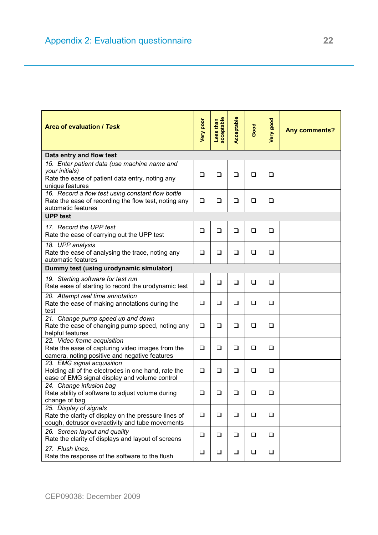| <b>Area of evaluation / Task</b>                                                                                                     | <b>Very poor</b> | Less than<br>acceptable | Acceptable | Good   | Very good | <b>Any comments?</b> |  |
|--------------------------------------------------------------------------------------------------------------------------------------|------------------|-------------------------|------------|--------|-----------|----------------------|--|
| Data entry and flow test                                                                                                             |                  |                         |            |        |           |                      |  |
| 15. Enter patient data (use machine name and<br>your initials)<br>Rate the ease of patient data entry, noting any<br>unique features | $\Box$           | ❏                       | $\Box$     | ❏      | □         |                      |  |
| 16. Record a flow test using constant flow bottle<br>Rate the ease of recording the flow test, noting any<br>automatic features      | $\Box$           | $\Box$                  | ❏          | $\Box$ | $\Box$    |                      |  |
| <b>UPP test</b>                                                                                                                      |                  |                         |            |        |           |                      |  |
| 17. Record the UPP test<br>Rate the ease of carrying out the UPP test                                                                | $\Box$           | $\Box$                  | $\Box$     | $\Box$ | ❏         |                      |  |
| 18. UPP analysis<br>Rate the ease of analysing the trace, noting any<br>automatic features                                           | ❏                | ❏                       | ❏          | ❏      | ❏         |                      |  |
| Dummy test (using urodynamic simulator)                                                                                              |                  |                         |            |        |           |                      |  |
| 19. Starting software for test run<br>Rate ease of starting to record the urodynamic test                                            | ❏                | $\Box$                  | ❏          | ❏      | ❏         |                      |  |
| 20. Attempt real time annotation<br>Rate the ease of making annotations during the<br>test                                           | $\Box$           | ❏                       | $\Box$     | ❏      | ❏         |                      |  |
| 21. Change pump speed up and down<br>Rate the ease of changing pump speed, noting any<br>helpful features                            | ❏                | ❏                       | ❏          | $\Box$ | ◻         |                      |  |
| 22. Video frame acquisition<br>Rate the ease of capturing video images from the<br>camera, noting positive and negative features     | $\Box$           | ❏                       | $\Box$     | $\Box$ | ❏         |                      |  |
| 23. EMG signal acquisition<br>Holding all of the electrodes in one hand, rate the<br>ease of EMG signal display and volume control   | ❏                | $\Box$                  | $\Box$     | $\Box$ | ❏         |                      |  |
| 24. Change infusion bag<br>Rate ability of software to adjust volume during<br>change of bag                                         | □                | ❏                       | ❏          | ❏      | ❏         |                      |  |
| 25. Display of signals<br>Rate the clarity of display on the pressure lines of<br>cough, detrusor overactivity and tube movements    | ❏                | $\Box$                  | $\Box$     | $\Box$ | $\Box$    |                      |  |
| 26. Screen layout and quality<br>Rate the clarity of displays and layout of screens                                                  | $\Box$           | $\Box$                  | $\Box$     | $\Box$ | $\Box$    |                      |  |
| 27. Flush lines.<br>Rate the response of the software to the flush                                                                   | $\Box$           | $\Box$                  | $\Box$     | $\Box$ | $\Box$    |                      |  |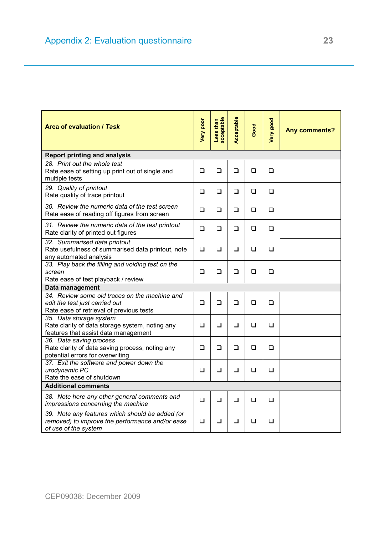| <b>Area of evaluation / Task</b>                                                                                            | Very poor | acceptable<br>Less than | Acceptable | Good | Very good | <b>Any comments?</b> |
|-----------------------------------------------------------------------------------------------------------------------------|-----------|-------------------------|------------|------|-----------|----------------------|
| <b>Report printing and analysis</b>                                                                                         |           |                         |            |      |           |                      |
| 28. Print out the whole test<br>Rate ease of setting up print out of single and<br>multiple tests                           | ❏         | ❏                       | ❏          | ❏    | ❏         |                      |
| 29. Quality of printout<br>Rate quality of trace printout                                                                   | ❏         | ❏                       | ❏          | ❏    | ❏         |                      |
| 30. Review the numeric data of the test screen<br>Rate ease of reading off figures from screen                              | ❏         | ❏                       | ❏          | ❏    | ❏         |                      |
| 31. Review the numeric data of the test printout<br>Rate clarity of printed out figures                                     | ❏         | ❏                       | ❏          | ❏    | ❏         |                      |
| 32. Summarised data printout<br>Rate usefulness of summarised data printout, note<br>any automated analysis                 | ❏         | ❏                       | ❏          | ❏    | ❏         |                      |
| 33. Play back the filling and voiding test on the<br>screen<br>Rate ease of test playback / review                          | ❏         | $\Box$                  | ❏          | ❏    | ❏         |                      |
| Data management                                                                                                             |           |                         |            |      |           |                      |
| 34. Review some old traces on the machine and<br>edit the test just carried out<br>Rate ease of retrieval of previous tests | □         | □                       | <b>□</b>   | □    | □         |                      |
| 35. Data storage system<br>Rate clarity of data storage system, noting any<br>features that assist data management          | ❏         | ❏                       | ❏          | □    | <b>□</b>  |                      |
| 36. Data saving process<br>Rate clarity of data saving process, noting any<br>potential errors for overwriting              | □         | □                       | <b>□</b>   | □    | □         |                      |
| 37. Exit the software and power down the<br>urodynamic PC<br>Rate the ease of shutdown                                      | □         | ❏                       | □          | □    | □         |                      |
| <b>Additional comments</b>                                                                                                  |           |                         |            |      |           |                      |
| 38. Note here any other general comments and<br>impressions concerning the machine                                          | □         | $\Box$                  | <b>□</b>   | □    | □         |                      |
| 39. Note any features which should be added (or<br>removed) to improve the performance and/or ease<br>of use of the system  | □         | ◻                       | ◻          | ◻    | □         |                      |